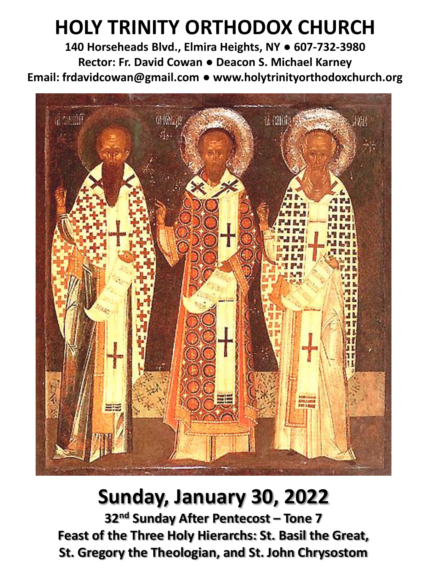# **HOLY TRINITY ORTHODOX CHURCH**

**140 Horseheads Blvd., Elmira Heights, NY ● 607-732-3980 Rector: Fr. David Cowan ● Deacon S. Michael Karney Email: frdavidcowan@gmail.com ● www.holytrinityorthodoxchurch.org**



# **Sunday, January 30, 2022**

**32nd Sunday After Pentecost – Tone 7 Feast of the Three Holy Hierarchs: St. Basil the Great, St. Gregory the Theologian, and St. John Chrysostom**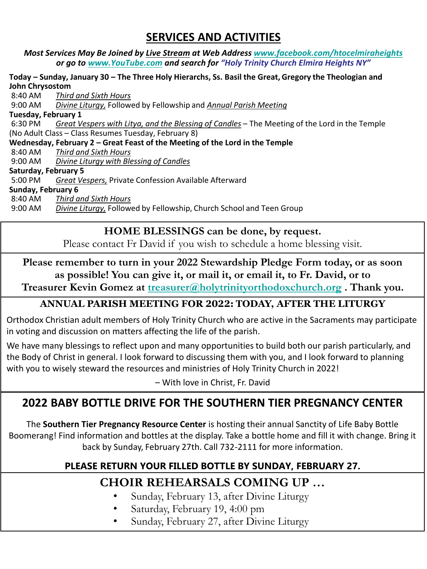## **SERVICES AND ACTIVITIES**

#### *Most Services May Be Joined by Live Stream at Web Address [www.facebook.com/htocelmiraheights](http://www.facebook.com/htocelmiraheights) or go to [www.YouTube.com](http://www.youtube.com/) and search for "Holy Trinity Church Elmira Heights NY"*

#### **Today – Sunday, January 30 – The Three Holy Hierarchs, Ss. Basil the Great, Gregory the Theologian and John Chrysostom**

8:40 AM *Third and Sixth Hours* 9:00 AM *Divine Liturgy,* Followed by Fellowship and *Annual Parish Meeting* **Tuesday, February 1** 6:30 PM *Great Vespers with Litya, and the Blessing of Candles* – The Meeting of the Lord in the Temple (No Adult Class – Class Resumes Tuesday, February 8) **Wednesday, February 2 – Great Feast of the Meeting of the Lord in the Temple**  8:40 AM *Third and Sixth Hours* 9:00 AM *Divine Liturgy with Blessing of Candles* **Saturday, February 5** 5:00 PM *Great Vespers,* Private Confession Available Afterward **Sunday, February 6** 8:40 AM *Third and Sixth Hours* 9:00 AM *Divine Liturgy,* Followed by Fellowship, Church School and Teen Group

## **HOME BLESSINGS can be done, by request.**

Please contact Fr David if you wish to schedule a home blessing visit.

# **Please remember to turn in your 2022 Stewardship Pledge Form today, or as soon as possible! You can give it, or mail it, or email it, to Fr. David, or to**

**Treasurer Kevin Gomez at [treasurer@holytrinityorthodoxchurch.org](mailto:treasurer@holytrinityorthodoxchurch.org) . Thank you.**

## **ANNUAL PARISH MEETING FOR 2022: TODAY, AFTER THE LITURGY**

Orthodox Christian adult members of Holy Trinity Church who are active in the Sacraments may participate in voting and discussion on matters affecting the life of the parish.

We have many blessings to reflect upon and many opportunities to build both our parish particularly, and the Body of Christ in general. I look forward to discussing them with you, and I look forward to planning with you to wisely steward the resources and ministries of Holy Trinity Church in 2022!

– With love in Christ, Fr. David

## **2022 BABY BOTTLE DRIVE FOR THE SOUTHERN TIER PREGNANCY CENTER**

The **Southern Tier Pregnancy Resource Center** is hosting their annual Sanctity of Life Baby Bottle Boomerang! Find information and bottles at the display. Take a bottle home and fill it with change. Bring it back by Sunday, February 27th. Call 732-2111 for more information.

# **PLEASE RETURN YOUR FILLED BOTTLE BY SUNDAY, FEBRUARY 27.**

## **Thank You! – Fr. David CHOIR REHEARSALS COMING UP …**

- Sunday, February 13, after Divine Liturgy
- Saturday, February 19, 4:00 pm
- Sunday, February 27, after Divine Liturgy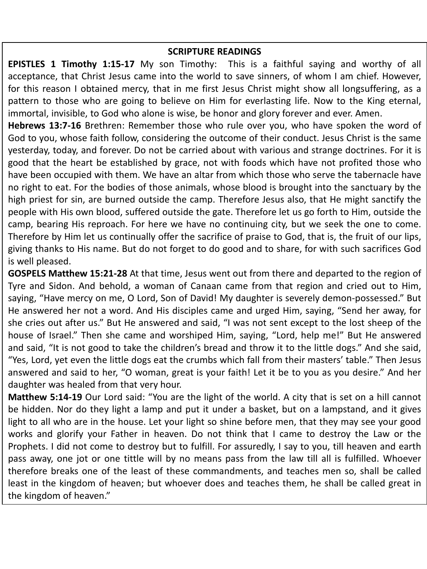### **SCRIPTURE READINGS**

**EPISTLES 1 Timothy 1:15-17** My son Timothy: This is a faithful saying and worthy of all acceptance, that Christ Jesus came into the world to save sinners, of whom I am chief. However, for this reason I obtained mercy, that in me first Jesus Christ might show all longsuffering, as a pattern to those who are going to believe on Him for everlasting life. Now to the King eternal, immortal, invisible, to God who alone is wise, be honor and glory forever and ever. Amen.

**Hebrews 13:7-16** Brethren: Remember those who rule over you, who have spoken the word of God to you, whose faith follow, considering the outcome of their conduct. Jesus Christ is the same yesterday, today, and forever. Do not be carried about with various and strange doctrines. For it is good that the heart be established by grace, not with foods which have not profited those who have been occupied with them. We have an altar from which those who serve the tabernacle have no right to eat. For the bodies of those animals, whose blood is brought into the sanctuary by the high priest for sin, are burned outside the camp. Therefore Jesus also, that He might sanctify the people with His own blood, suffered outside the gate. Therefore let us go forth to Him, outside the camp, bearing His reproach. For here we have no continuing city, but we seek the one to come. Therefore by Him let us continually offer the sacrifice of praise to God, that is, the fruit of our lips, giving thanks to His name. But do not forget to do good and to share, for with such sacrifices God is well pleased.

**GOSPELS Matthew 15:21-28** At that time, Jesus went out from there and departed to the region of Tyre and Sidon. And behold, a woman of Canaan came from that region and cried out to Him, saying, "Have mercy on me, O Lord, Son of David! My daughter is severely demon-possessed." But He answered her not a word. And His disciples came and urged Him, saying, "Send her away, for she cries out after us." But He answered and said, "I was not sent except to the lost sheep of the house of Israel." Then she came and worshiped Him, saying, "Lord, help me!" But He answered and said, "It is not good to take the children's bread and throw it to the little dogs." And she said, "Yes, Lord, yet even the little dogs eat the crumbs which fall from their masters' table." Then Jesus answered and said to her, "O woman, great is your faith! Let it be to you as you desire." And her daughter was healed from that very hour.

**Matthew 5:14-19** Our Lord said: "You are the light of the world. A city that is set on a hill cannot be hidden. Nor do they light a lamp and put it under a basket, but on a lampstand, and it gives light to all who are in the house. Let your light so shine before men, that they may see your good works and glorify your Father in heaven. Do not think that I came to destroy the Law or the Prophets. I did not come to destroy but to fulfill. For assuredly, I say to you, till heaven and earth pass away, one jot or one tittle will by no means pass from the law till all is fulfilled. Whoever therefore breaks one of the least of these commandments, and teaches men so, shall be called least in the kingdom of heaven; but whoever does and teaches them, he shall be called great in the kingdom of heaven."